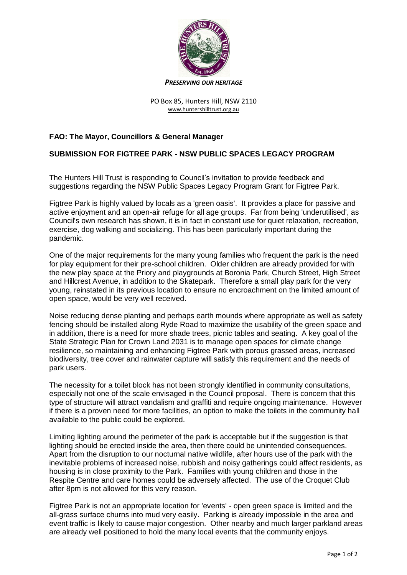

## *PRESERVING OUR HERITAGE*

## PO Box 85, Hunters Hill, NSW 2110 [www.huntershilltrust.org.au](http://www.huntershilltrust.org.au/)

## **FAO: The Mayor, Councillors & General Manager**

## **SUBMISSION FOR FIGTREE PARK - NSW PUBLIC SPACES LEGACY PROGRAM**

The Hunters Hill Trust is responding to Council's invitation to provide feedback and suggestions regarding the NSW Public Spaces Legacy Program Grant for Figtree Park.

Figtree Park is highly valued by locals as a 'green oasis'. It provides a place for passive and active enjoyment and an open-air refuge for all age groups. Far from being 'underutilised', as Council's own research has shown, it is in fact in constant use for quiet relaxation, recreation, exercise, dog walking and socializing. This has been particularly important during the pandemic.

One of the major requirements for the many young families who frequent the park is the need for play equipment for their pre-school children. Older children are already provided for with the new play space at the Priory and playgrounds at Boronia Park, Church Street, High Street and Hillcrest Avenue, in addition to the Skatepark. Therefore a small play park for the very young, reinstated in its previous location to ensure no encroachment on the limited amount of open space, would be very well received.

Noise reducing dense planting and perhaps earth mounds where appropriate as well as safety fencing should be installed along Ryde Road to maximize the usability of the green space and in addition, there is a need for more shade trees, picnic tables and seating. A key goal of the State Strategic Plan for Crown Land 2031 is to manage open spaces for climate change resilience, so maintaining and enhancing Figtree Park with porous grassed areas, increased biodiversity, tree cover and rainwater capture will satisfy this requirement and the needs of park users.

The necessity for a toilet block has not been strongly identified in community consultations, especially not one of the scale envisaged in the Council proposal. There is concern that this type of structure will attract vandalism and graffiti and require ongoing maintenance. However if there is a proven need for more facilities, an option to make the toilets in the community hall available to the public could be explored.

Limiting lighting around the perimeter of the park is acceptable but if the suggestion is that lighting should be erected inside the area, then there could be unintended consequences. Apart from the disruption to our nocturnal native wildlife, after hours use of the park with the inevitable problems of increased noise, rubbish and noisy gatherings could affect residents, as housing is in close proximity to the Park. Families with young children and those in the Respite Centre and care homes could be adversely affected. The use of the Croquet Club after 8pm is not allowed for this very reason.

Figtree Park is not an appropriate location for 'events' - open green space is limited and the all-grass surface churns into mud very easily. Parking is already impossible in the area and event traffic is likely to cause major congestion. Other nearby and much larger parkland areas are already well positioned to hold the many local events that the community enjoys.